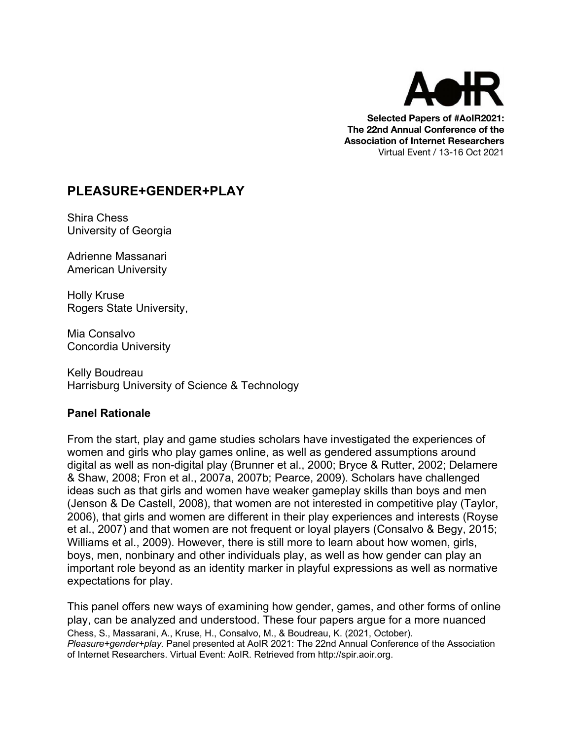

**Selected Papers of #AoIR2021: The 22nd Annual Conference of the Association of Internet Researchers** Virtual Event / 13-16 Oct 2021

# **PLEASURE+GENDER+PLAY**

Shira Chess University of Georgia

Adrienne Massanari American University

Holly Kruse Rogers State University,

Mia Consalvo Concordia University

Kelly Boudreau Harrisburg University of Science & Technology

### **Panel Rationale**

From the start, play and game studies scholars have investigated the experiences of women and girls who play games online, as well as gendered assumptions around digital as well as non-digital play (Brunner et al., 2000; Bryce & Rutter, 2002; Delamere & Shaw, 2008; Fron et al., 2007a, 2007b; Pearce, 2009). Scholars have challenged ideas such as that girls and women have weaker gameplay skills than boys and men (Jenson & De Castell, 2008), that women are not interested in competitive play (Taylor, 2006), that girls and women are different in their play experiences and interests (Royse et al., 2007) and that women are not frequent or loyal players (Consalvo & Begy, 2015; Williams et al., 2009). However, there is still more to learn about how women, girls, boys, men, nonbinary and other individuals play, as well as how gender can play an important role beyond as an identity marker in playful expressions as well as normative expectations for play.

Chess, S., Massarani, A., Kruse, H., Consalvo, M., & Boudreau, K. (2021, October). *Pleasure+gender+play.* Panel presented at AoIR 2021: The 22nd Annual Conference of the Association of Internet Researchers. Virtual Event: AoIR. Retrieved from http://spir.aoir.org. This panel offers new ways of examining how gender, games, and other forms of online play, can be analyzed and understood. These four papers argue for a more nuanced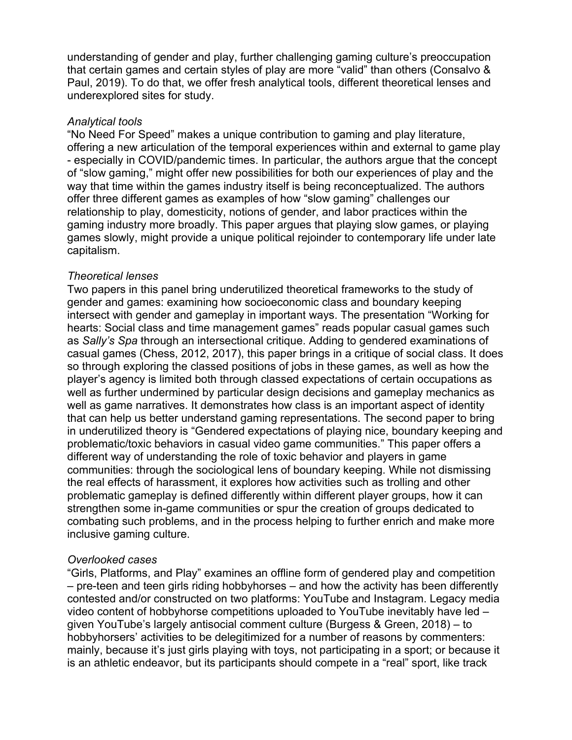understanding of gender and play, further challenging gaming culture's preoccupation that certain games and certain styles of play are more "valid" than others (Consalvo & Paul, 2019). To do that, we offer fresh analytical tools, different theoretical lenses and underexplored sites for study.

#### *Analytical tools*

"No Need For Speed" makes a unique contribution to gaming and play literature, offering a new articulation of the temporal experiences within and external to game play - especially in COVID/pandemic times. In particular, the authors argue that the concept of "slow gaming," might offer new possibilities for both our experiences of play and the way that time within the games industry itself is being reconceptualized. The authors offer three different games as examples of how "slow gaming" challenges our relationship to play, domesticity, notions of gender, and labor practices within the gaming industry more broadly. This paper argues that playing slow games, or playing games slowly, might provide a unique political rejoinder to contemporary life under late capitalism.

#### *Theoretical lenses*

Two papers in this panel bring underutilized theoretical frameworks to the study of gender and games: examining how socioeconomic class and boundary keeping intersect with gender and gameplay in important ways. The presentation "Working for hearts: Social class and time management games" reads popular casual games such as *Sally's Spa* through an intersectional critique. Adding to gendered examinations of casual games (Chess, 2012, 2017), this paper brings in a critique of social class. It does so through exploring the classed positions of jobs in these games, as well as how the player's agency is limited both through classed expectations of certain occupations as well as further undermined by particular design decisions and gameplay mechanics as well as game narratives. It demonstrates how class is an important aspect of identity that can help us better understand gaming representations. The second paper to bring in underutilized theory is "Gendered expectations of playing nice, boundary keeping and problematic/toxic behaviors in casual video game communities." This paper offers a different way of understanding the role of toxic behavior and players in game communities: through the sociological lens of boundary keeping. While not dismissing the real effects of harassment, it explores how activities such as trolling and other problematic gameplay is defined differently within different player groups, how it can strengthen some in-game communities or spur the creation of groups dedicated to combating such problems, and in the process helping to further enrich and make more inclusive gaming culture.

#### *Overlooked cases*

"Girls, Platforms, and Play" examines an offline form of gendered play and competition – pre-teen and teen girls riding hobbyhorses – and how the activity has been differently contested and/or constructed on two platforms: YouTube and Instagram. Legacy media video content of hobbyhorse competitions uploaded to YouTube inevitably have led – given YouTube's largely antisocial comment culture (Burgess & Green, 2018) – to hobbyhorsers' activities to be delegitimized for a number of reasons by commenters: mainly, because it's just girls playing with toys, not participating in a sport; or because it is an athletic endeavor, but its participants should compete in a "real" sport, like track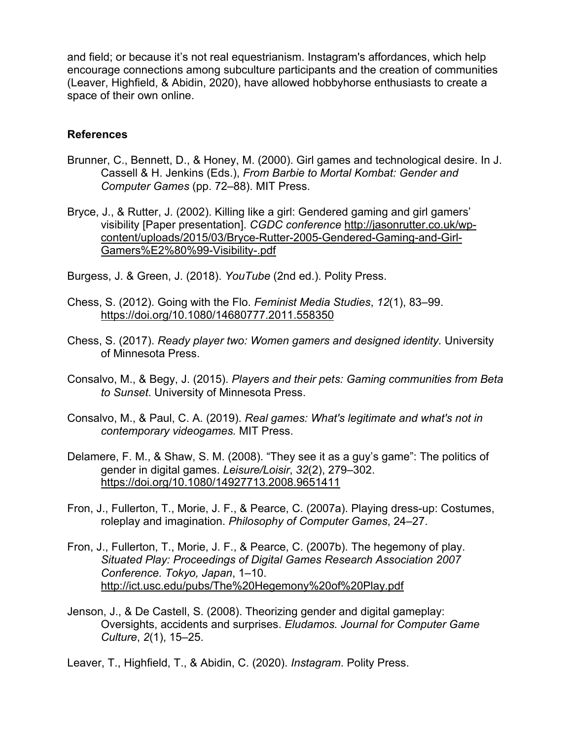and field; or because it's not real equestrianism. Instagram's affordances, which help encourage connections among subculture participants and the creation of communities (Leaver, Highfield, & Abidin, 2020), have allowed hobbyhorse enthusiasts to create a space of their own online.

#### **References**

- Brunner, C., Bennett, D., & Honey, M. (2000). Girl games and technological desire. In J. Cassell & H. Jenkins (Eds.), *From Barbie to Mortal Kombat: Gender and Computer Games* (pp. 72–88). MIT Press.
- Bryce, J., & Rutter, J. (2002). Killing like a girl: Gendered gaming and girl gamers' visibility [Paper presentation]. *CGDC conference* http://jasonrutter.co.uk/wpcontent/uploads/2015/03/Bryce-Rutter-2005-Gendered-Gaming-and-Girl-Gamers%E2%80%99-Visibility-.pdf

Burgess, J. & Green, J. (2018). *YouTube* (2nd ed.). Polity Press.

- Chess, S. (2012). Going with the Flo. *Feminist Media Studies*, *12*(1), 83–99. https://doi.org/10.1080/14680777.2011.558350
- Chess, S. (2017). *Ready player two: Women gamers and designed identity.* University of Minnesota Press.
- Consalvo, M., & Begy, J. (2015). *Players and their pets: Gaming communities from Beta to Sunset*. University of Minnesota Press.
- Consalvo, M., & Paul, C. A. (2019). *Real games: What's legitimate and what's not in contemporary videogames.* MIT Press.
- Delamere, F. M., & Shaw, S. M. (2008). "They see it as a guy's game": The politics of gender in digital games. *Leisure/Loisir*, *32*(2), 279–302. https://doi.org/10.1080/14927713.2008.9651411
- Fron, J., Fullerton, T., Morie, J. F., & Pearce, C. (2007a). Playing dress-up: Costumes, roleplay and imagination. *Philosophy of Computer Games*, 24–27.
- Fron, J., Fullerton, T., Morie, J. F., & Pearce, C. (2007b). The hegemony of play. *Situated Play: Proceedings of Digital Games Research Association 2007 Conference. Tokyo, Japan*, 1–10. http://ict.usc.edu/pubs/The%20Hegemony%20of%20Play.pdf
- Jenson, J., & De Castell, S. (2008). Theorizing gender and digital gameplay: Oversights, accidents and surprises. *Eludamos. Journal for Computer Game Culture*, *2*(1), 15–25.

Leaver, T., Highfield, T., & Abidin, C. (2020). *Instagram*. Polity Press.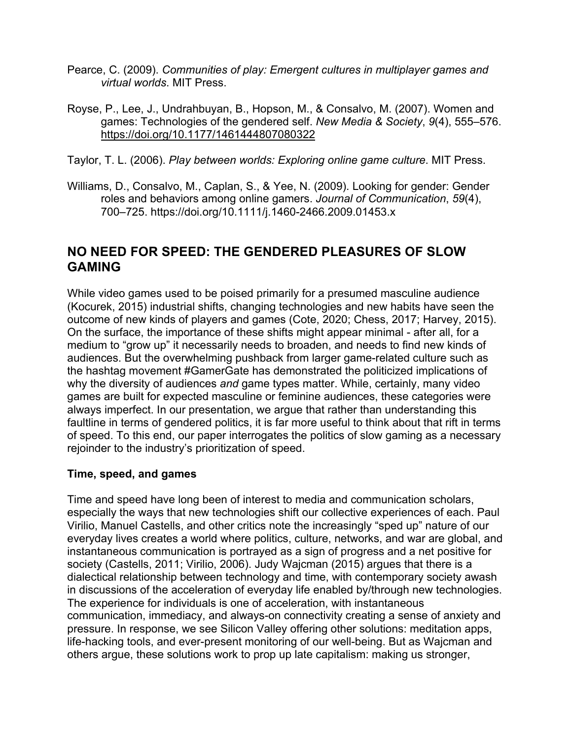- Pearce, C. (2009). *Communities of play: Emergent cultures in multiplayer games and virtual worlds*. MIT Press.
- Royse, P., Lee, J., Undrahbuyan, B., Hopson, M., & Consalvo, M. (2007). Women and games: Technologies of the gendered self. *New Media & Society*, *9*(4), 555–576. https://doi.org/10.1177/1461444807080322
- Taylor, T. L. (2006). *Play between worlds: Exploring online game culture*. MIT Press.
- Williams, D., Consalvo, M., Caplan, S., & Yee, N. (2009). Looking for gender: Gender roles and behaviors among online gamers. *Journal of Communication*, *59*(4), 700–725. https://doi.org/10.1111/j.1460-2466.2009.01453.x

# **NO NEED FOR SPEED: THE GENDERED PLEASURES OF SLOW GAMING**

While video games used to be poised primarily for a presumed masculine audience (Kocurek, 2015) industrial shifts, changing technologies and new habits have seen the outcome of new kinds of players and games (Cote, 2020; Chess, 2017; Harvey, 2015). On the surface, the importance of these shifts might appear minimal - after all, for a medium to "grow up" it necessarily needs to broaden, and needs to find new kinds of audiences. But the overwhelming pushback from larger game-related culture such as the hashtag movement #GamerGate has demonstrated the politicized implications of why the diversity of audiences *and* game types matter. While, certainly, many video games are built for expected masculine or feminine audiences, these categories were always imperfect. In our presentation, we argue that rather than understanding this faultline in terms of gendered politics, it is far more useful to think about that rift in terms of speed. To this end, our paper interrogates the politics of slow gaming as a necessary rejoinder to the industry's prioritization of speed.

### **Time, speed, and games**

Time and speed have long been of interest to media and communication scholars, especially the ways that new technologies shift our collective experiences of each. Paul Virilio, Manuel Castells, and other critics note the increasingly "sped up" nature of our everyday lives creates a world where politics, culture, networks, and war are global, and instantaneous communication is portrayed as a sign of progress and a net positive for society (Castells, 2011; Virilio, 2006). Judy Wajcman (2015) argues that there is a dialectical relationship between technology and time, with contemporary society awash in discussions of the acceleration of everyday life enabled by/through new technologies. The experience for individuals is one of acceleration, with instantaneous communication, immediacy, and always-on connectivity creating a sense of anxiety and pressure. In response, we see Silicon Valley offering other solutions: meditation apps, life-hacking tools, and ever-present monitoring of our well-being. But as Wajcman and others argue, these solutions work to prop up late capitalism: making us stronger,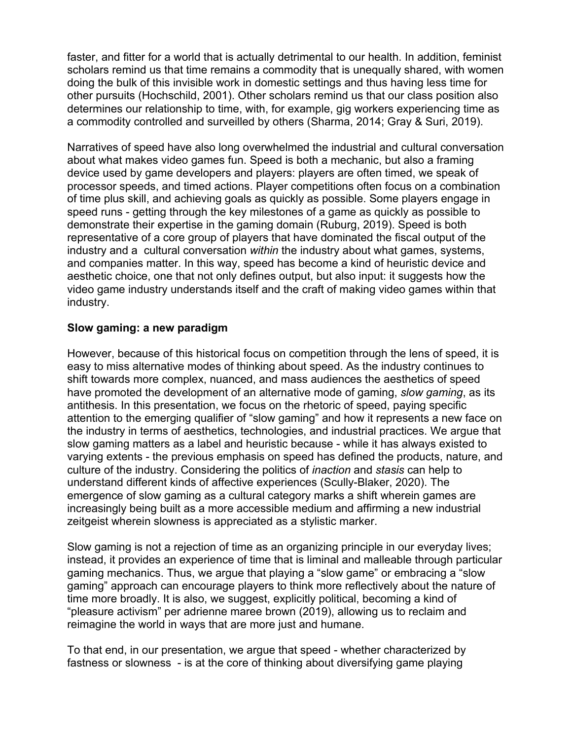faster, and fitter for a world that is actually detrimental to our health. In addition, feminist scholars remind us that time remains a commodity that is unequally shared, with women doing the bulk of this invisible work in domestic settings and thus having less time for other pursuits (Hochschild, 2001). Other scholars remind us that our class position also determines our relationship to time, with, for example, gig workers experiencing time as a commodity controlled and surveilled by others (Sharma, 2014; Gray & Suri, 2019).

Narratives of speed have also long overwhelmed the industrial and cultural conversation about what makes video games fun. Speed is both a mechanic, but also a framing device used by game developers and players: players are often timed, we speak of processor speeds, and timed actions. Player competitions often focus on a combination of time plus skill, and achieving goals as quickly as possible. Some players engage in speed runs - getting through the key milestones of a game as quickly as possible to demonstrate their expertise in the gaming domain (Ruburg, 2019). Speed is both representative of a core group of players that have dominated the fiscal output of the industry and a cultural conversation *within* the industry about what games, systems, and companies matter. In this way, speed has become a kind of heuristic device and aesthetic choice, one that not only defines output, but also input: it suggests how the video game industry understands itself and the craft of making video games within that industry.

### **Slow gaming: a new paradigm**

However, because of this historical focus on competition through the lens of speed, it is easy to miss alternative modes of thinking about speed. As the industry continues to shift towards more complex, nuanced, and mass audiences the aesthetics of speed have promoted the development of an alternative mode of gaming, *slow gaming*, as its antithesis. In this presentation, we focus on the rhetoric of speed, paying specific attention to the emerging qualifier of "slow gaming" and how it represents a new face on the industry in terms of aesthetics, technologies, and industrial practices. We argue that slow gaming matters as a label and heuristic because - while it has always existed to varying extents - the previous emphasis on speed has defined the products, nature, and culture of the industry. Considering the politics of *inaction* and *stasis* can help to understand different kinds of affective experiences (Scully-Blaker, 2020). The emergence of slow gaming as a cultural category marks a shift wherein games are increasingly being built as a more accessible medium and affirming a new industrial zeitgeist wherein slowness is appreciated as a stylistic marker.

Slow gaming is not a rejection of time as an organizing principle in our everyday lives; instead, it provides an experience of time that is liminal and malleable through particular gaming mechanics. Thus, we argue that playing a "slow game" or embracing a "slow gaming" approach can encourage players to think more reflectively about the nature of time more broadly. It is also, we suggest, explicitly political, becoming a kind of "pleasure activism" per adrienne maree brown (2019), allowing us to reclaim and reimagine the world in ways that are more just and humane.

To that end, in our presentation, we argue that speed - whether characterized by fastness or slowness - is at the core of thinking about diversifying game playing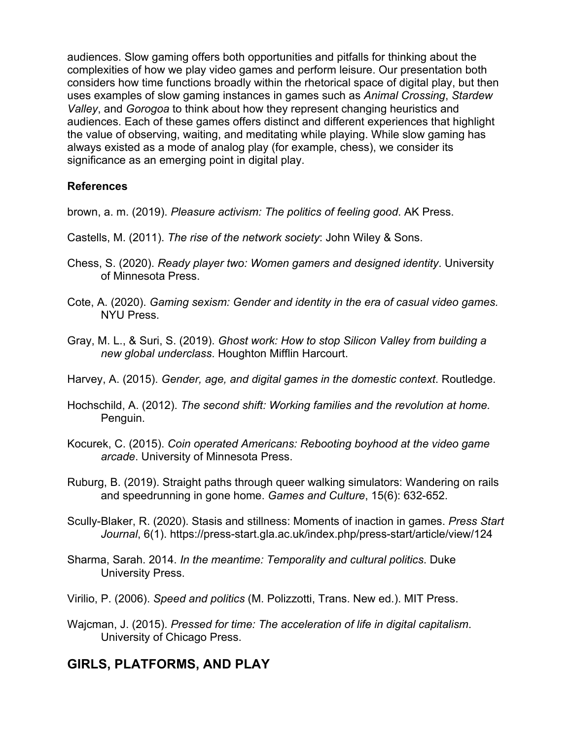audiences. Slow gaming offers both opportunities and pitfalls for thinking about the complexities of how we play video games and perform leisure. Our presentation both considers how time functions broadly within the rhetorical space of digital play, but then uses examples of slow gaming instances in games such as *Animal Crossing*, *Stardew Valley*, and *Gorogoa* to think about how they represent changing heuristics and audiences. Each of these games offers distinct and different experiences that highlight the value of observing, waiting, and meditating while playing. While slow gaming has always existed as a mode of analog play (for example, chess), we consider its significance as an emerging point in digital play.

### **References**

brown, a. m. (2019). *Pleasure activism: The politics of feeling good*. AK Press.

- Castells, M. (2011). *The rise of the network society*: John Wiley & Sons.
- Chess, S. (2020). *Ready player two: Women gamers and designed identity*. University of Minnesota Press.
- Cote, A. (2020). *Gaming sexism: Gender and identity in the era of casual video games.*  NYU Press.
- Gray, M. L., & Suri, S. (2019). *Ghost work: How to stop Silicon Valley from building a new global underclass*. Houghton Mifflin Harcourt.
- Harvey, A. (2015). *Gender, age, and digital games in the domestic context*. Routledge.
- Hochschild, A. (2012). *The second shift: Working families and the revolution at home.* Penguin.
- Kocurek, C. (2015). *Coin operated Americans: Rebooting boyhood at the video game arcade*. University of Minnesota Press.
- Ruburg, B. (2019). Straight paths through queer walking simulators: Wandering on rails and speedrunning in gone home. *Games and Culture*, 15(6): 632-652.
- Scully-Blaker, R. (2020). Stasis and stillness: Moments of inaction in games. *Press Start Journal*, 6(1). https://press-start.gla.ac.uk/index.php/press-start/article/view/124
- Sharma, Sarah. 2014. *In the meantime: Temporality and cultural politics*. Duke University Press.
- Virilio, P. (2006). *Speed and politics* (M. Polizzotti, Trans. New ed.). MIT Press.
- Wajcman, J. (2015). *Pressed for time: The acceleration of life in digital capitalism*. University of Chicago Press.

# **GIRLS, PLATFORMS, AND PLAY**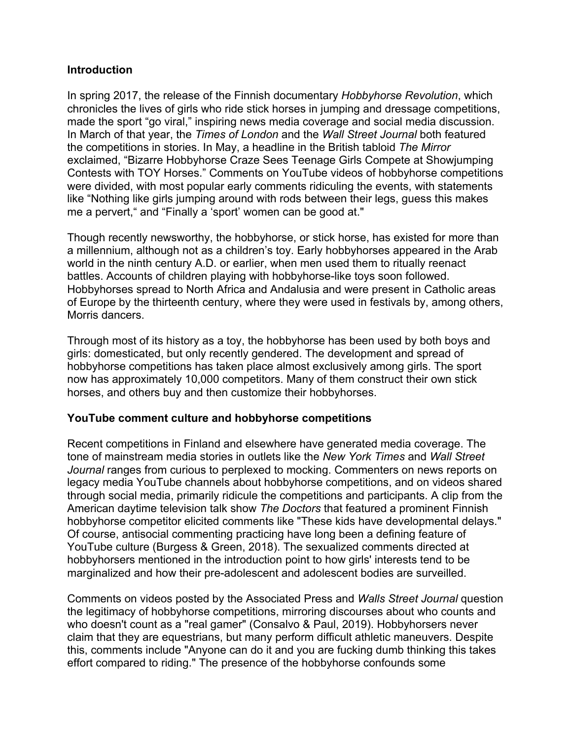### **Introduction**

In spring 2017, the release of the Finnish documentary *Hobbyhorse Revolution*, which chronicles the lives of girls who ride stick horses in jumping and dressage competitions, made the sport "go viral," inspiring news media coverage and social media discussion. In March of that year, the *Times of London* and the *Wall Street Journal* both featured the competitions in stories. In May, a headline in the British tabloid *The Mirror* exclaimed, "Bizarre Hobbyhorse Craze Sees Teenage Girls Compete at Showjumping Contests with TOY Horses." Comments on YouTube videos of hobbyhorse competitions were divided, with most popular early comments ridiculing the events, with statements like "Nothing like girls jumping around with rods between their legs, guess this makes me a pervert," and "Finally a 'sport' women can be good at."

Though recently newsworthy, the hobbyhorse, or stick horse, has existed for more than a millennium, although not as a children's toy. Early hobbyhorses appeared in the Arab world in the ninth century A.D. or earlier, when men used them to ritually reenact battles. Accounts of children playing with hobbyhorse-like toys soon followed. Hobbyhorses spread to North Africa and Andalusia and were present in Catholic areas of Europe by the thirteenth century, where they were used in festivals by, among others, Morris dancers.

Through most of its history as a toy, the hobbyhorse has been used by both boys and girls: domesticated, but only recently gendered. The development and spread of hobbyhorse competitions has taken place almost exclusively among girls. The sport now has approximately 10,000 competitors. Many of them construct their own stick horses, and others buy and then customize their hobbyhorses.

#### **YouTube comment culture and hobbyhorse competitions**

Recent competitions in Finland and elsewhere have generated media coverage. The tone of mainstream media stories in outlets like the *New York Times* and *Wall Street Journal* ranges from curious to perplexed to mocking. Commenters on news reports on legacy media YouTube channels about hobbyhorse competitions, and on videos shared through social media, primarily ridicule the competitions and participants. A clip from the American daytime television talk show *The Doctors* that featured a prominent Finnish hobbyhorse competitor elicited comments like "These kids have developmental delays." Of course, antisocial commenting practicing have long been a defining feature of YouTube culture (Burgess & Green, 2018). The sexualized comments directed at hobbyhorsers mentioned in the introduction point to how girls' interests tend to be marginalized and how their pre-adolescent and adolescent bodies are surveilled.

Comments on videos posted by the Associated Press and *Walls Street Journal* question the legitimacy of hobbyhorse competitions, mirroring discourses about who counts and who doesn't count as a "real gamer" (Consalvo & Paul, 2019). Hobbyhorsers never claim that they are equestrians, but many perform difficult athletic maneuvers. Despite this, comments include "Anyone can do it and you are fucking dumb thinking this takes effort compared to riding." The presence of the hobbyhorse confounds some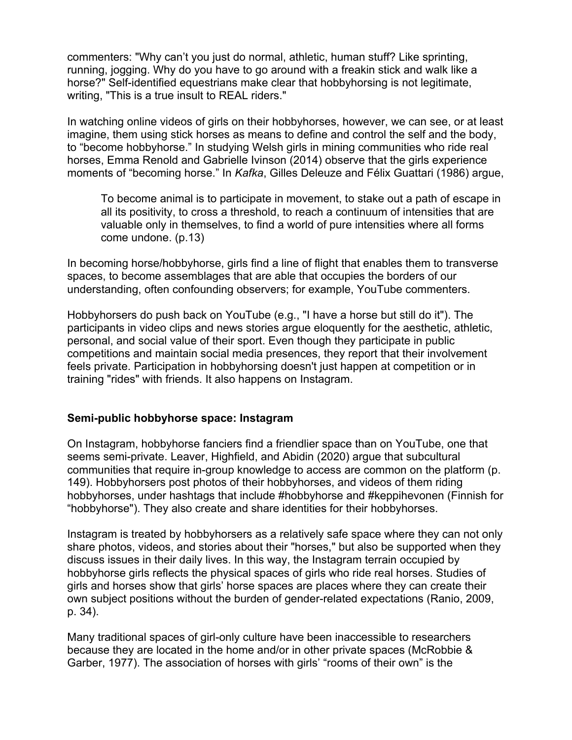commenters: "Why can't you just do normal, athletic, human stuff? Like sprinting, running, jogging. Why do you have to go around with a freakin stick and walk like a horse?" Self-identified equestrians make clear that hobbyhorsing is not legitimate, writing, "This is a true insult to REAL riders."

In watching online videos of girls on their hobbyhorses, however, we can see, or at least imagine, them using stick horses as means to define and control the self and the body, to "become hobbyhorse." In studying Welsh girls in mining communities who ride real horses, Emma Renold and Gabrielle Ivinson (2014) observe that the girls experience moments of "becoming horse." In *Kafka*, Gilles Deleuze and Félix Guattari (1986) argue,

To become animal is to participate in movement, to stake out a path of escape in all its positivity, to cross a threshold, to reach a continuum of intensities that are valuable only in themselves, to find a world of pure intensities where all forms come undone. (p.13)

In becoming horse/hobbyhorse, girls find a line of flight that enables them to transverse spaces, to become assemblages that are able that occupies the borders of our understanding, often confounding observers; for example, YouTube commenters.

Hobbyhorsers do push back on YouTube (e.g., "I have a horse but still do it"). The participants in video clips and news stories argue eloquently for the aesthetic, athletic, personal, and social value of their sport. Even though they participate in public competitions and maintain social media presences, they report that their involvement feels private. Participation in hobbyhorsing doesn't just happen at competition or in training "rides" with friends. It also happens on Instagram.

### **Semi-public hobbyhorse space: Instagram**

On Instagram, hobbyhorse fanciers find a friendlier space than on YouTube, one that seems semi-private. Leaver, Highfield, and Abidin (2020) argue that subcultural communities that require in-group knowledge to access are common on the platform (p. 149). Hobbyhorsers post photos of their hobbyhorses, and videos of them riding hobbyhorses, under hashtags that include #hobbyhorse and #keppihevonen (Finnish for "hobbyhorse"). They also create and share identities for their hobbyhorses.

Instagram is treated by hobbyhorsers as a relatively safe space where they can not only share photos, videos, and stories about their "horses," but also be supported when they discuss issues in their daily lives. In this way, the Instagram terrain occupied by hobbyhorse girls reflects the physical spaces of girls who ride real horses. Studies of girls and horses show that girls' horse spaces are places where they can create their own subject positions without the burden of gender-related expectations (Ranio, 2009, p. 34).

Many traditional spaces of girl-only culture have been inaccessible to researchers because they are located in the home and/or in other private spaces (McRobbie & Garber, 1977). The association of horses with girls' "rooms of their own" is the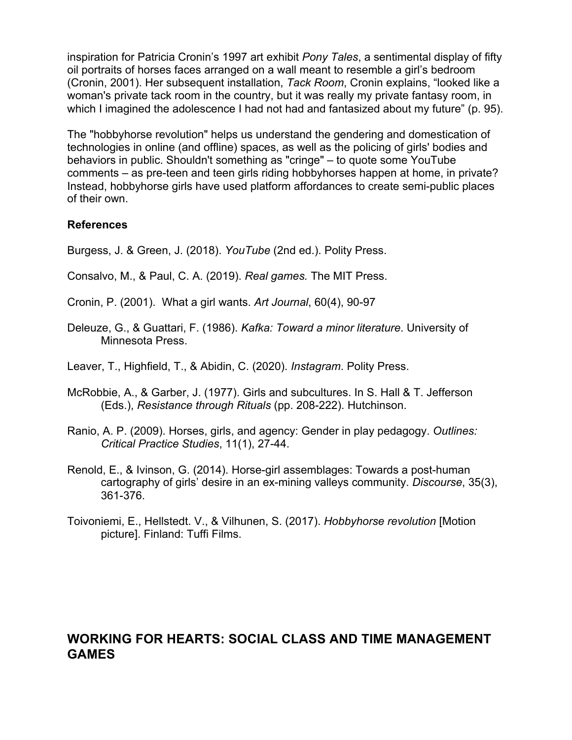inspiration for Patricia Cronin's 1997 art exhibit *Pony Tales*, a sentimental display of fifty oil portraits of horses faces arranged on a wall meant to resemble a girl's bedroom (Cronin, 2001). Her subsequent installation, *Tack Room*, Cronin explains, "looked like a woman's private tack room in the country, but it was really my private fantasy room, in which I imagined the adolescence I had not had and fantasized about my future" (p. 95).

The "hobbyhorse revolution" helps us understand the gendering and domestication of technologies in online (and offline) spaces, as well as the policing of girls' bodies and behaviors in public. Shouldn't something as "cringe" – to quote some YouTube comments – as pre-teen and teen girls riding hobbyhorses happen at home, in private? Instead, hobbyhorse girls have used platform affordances to create semi-public places of their own.

### **References**

Burgess, J. & Green, J. (2018). *YouTube* (2nd ed.). Polity Press.

- Consalvo, M., & Paul, C. A. (2019). *Real games.* The MIT Press.
- Cronin, P. (2001). What a girl wants. *Art Journal*, 60(4), 90-97
- Deleuze, G., & Guattari, F. (1986). *Kafka: Toward a minor literature*. University of Minnesota Press.

Leaver, T., Highfield, T., & Abidin, C. (2020). *Instagram*. Polity Press.

- McRobbie, A., & Garber, J. (1977). Girls and subcultures. In S. Hall & T. Jefferson (Eds.), *Resistance through Rituals* (pp. 208-222). Hutchinson.
- Ranio, A. P. (2009). Horses, girls, and agency: Gender in play pedagogy. *Outlines: Critical Practice Studies*, 11(1), 27-44.
- Renold, E., & Ivinson, G. (2014). Horse-girl assemblages: Towards a post-human cartography of girls' desire in an ex-mining valleys community. *Discourse*, 35(3), 361-376.
- Toivoniemi, E., Hellstedt. V., & Vilhunen, S. (2017). *Hobbyhorse revolution* [Motion picture]. Finland: Tuffi Films.

# **WORKING FOR HEARTS: SOCIAL CLASS AND TIME MANAGEMENT GAMES**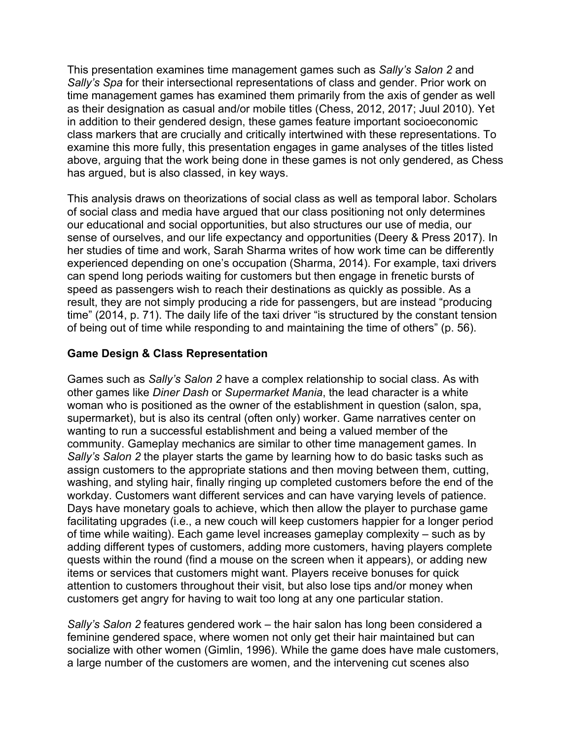This presentation examines time management games such as *Sally's Salon 2* and *Sally's Spa* for their intersectional representations of class and gender. Prior work on time management games has examined them primarily from the axis of gender as well as their designation as casual and/or mobile titles (Chess, 2012, 2017; Juul 2010). Yet in addition to their gendered design, these games feature important socioeconomic class markers that are crucially and critically intertwined with these representations. To examine this more fully, this presentation engages in game analyses of the titles listed above, arguing that the work being done in these games is not only gendered, as Chess has argued, but is also classed, in key ways.

This analysis draws on theorizations of social class as well as temporal labor. Scholars of social class and media have argued that our class positioning not only determines our educational and social opportunities, but also structures our use of media, our sense of ourselves, and our life expectancy and opportunities (Deery & Press 2017). In her studies of time and work, Sarah Sharma writes of how work time can be differently experienced depending on one's occupation (Sharma, 2014). For example, taxi drivers can spend long periods waiting for customers but then engage in frenetic bursts of speed as passengers wish to reach their destinations as quickly as possible. As a result, they are not simply producing a ride for passengers, but are instead "producing time" (2014, p. 71). The daily life of the taxi driver "is structured by the constant tension of being out of time while responding to and maintaining the time of others" (p. 56).

### **Game Design & Class Representation**

Games such as *Sally's Salon 2* have a complex relationship to social class. As with other games like *Diner Dash* or *Supermarket Mania*, the lead character is a white woman who is positioned as the owner of the establishment in question (salon, spa, supermarket), but is also its central (often only) worker. Game narratives center on wanting to run a successful establishment and being a valued member of the community. Gameplay mechanics are similar to other time management games. In *Sally's Salon 2* the player starts the game by learning how to do basic tasks such as assign customers to the appropriate stations and then moving between them, cutting, washing, and styling hair, finally ringing up completed customers before the end of the workday. Customers want different services and can have varying levels of patience. Days have monetary goals to achieve, which then allow the player to purchase game facilitating upgrades (i.e., a new couch will keep customers happier for a longer period of time while waiting). Each game level increases gameplay complexity – such as by adding different types of customers, adding more customers, having players complete quests within the round (find a mouse on the screen when it appears), or adding new items or services that customers might want. Players receive bonuses for quick attention to customers throughout their visit, but also lose tips and/or money when customers get angry for having to wait too long at any one particular station.

*Sally's Salon 2* features gendered work – the hair salon has long been considered a feminine gendered space, where women not only get their hair maintained but can socialize with other women (Gimlin, 1996). While the game does have male customers, a large number of the customers are women, and the intervening cut scenes also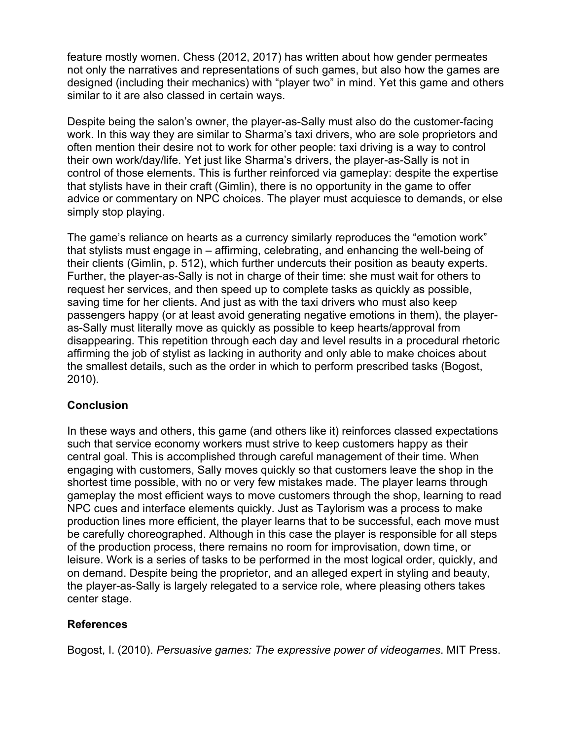feature mostly women. Chess (2012, 2017) has written about how gender permeates not only the narratives and representations of such games, but also how the games are designed (including their mechanics) with "player two" in mind. Yet this game and others similar to it are also classed in certain ways.

Despite being the salon's owner, the player-as-Sally must also do the customer-facing work. In this way they are similar to Sharma's taxi drivers, who are sole proprietors and often mention their desire not to work for other people: taxi driving is a way to control their own work/day/life. Yet just like Sharma's drivers, the player-as-Sally is not in control of those elements. This is further reinforced via gameplay: despite the expertise that stylists have in their craft (Gimlin), there is no opportunity in the game to offer advice or commentary on NPC choices. The player must acquiesce to demands, or else simply stop playing.

The game's reliance on hearts as a currency similarly reproduces the "emotion work" that stylists must engage in – affirming, celebrating, and enhancing the well-being of their clients (Gimlin, p. 512), which further undercuts their position as beauty experts. Further, the player-as-Sally is not in charge of their time: she must wait for others to request her services, and then speed up to complete tasks as quickly as possible, saving time for her clients. And just as with the taxi drivers who must also keep passengers happy (or at least avoid generating negative emotions in them), the playeras-Sally must literally move as quickly as possible to keep hearts/approval from disappearing. This repetition through each day and level results in a procedural rhetoric affirming the job of stylist as lacking in authority and only able to make choices about the smallest details, such as the order in which to perform prescribed tasks (Bogost, 2010).

## **Conclusion**

In these ways and others, this game (and others like it) reinforces classed expectations such that service economy workers must strive to keep customers happy as their central goal. This is accomplished through careful management of their time. When engaging with customers, Sally moves quickly so that customers leave the shop in the shortest time possible, with no or very few mistakes made. The player learns through gameplay the most efficient ways to move customers through the shop, learning to read NPC cues and interface elements quickly. Just as Taylorism was a process to make production lines more efficient, the player learns that to be successful, each move must be carefully choreographed. Although in this case the player is responsible for all steps of the production process, there remains no room for improvisation, down time, or leisure. Work is a series of tasks to be performed in the most logical order, quickly, and on demand. Despite being the proprietor, and an alleged expert in styling and beauty, the player-as-Sally is largely relegated to a service role, where pleasing others takes center stage.

## **References**

Bogost, I. (2010). *Persuasive games: The expressive power of videogames*. MIT Press.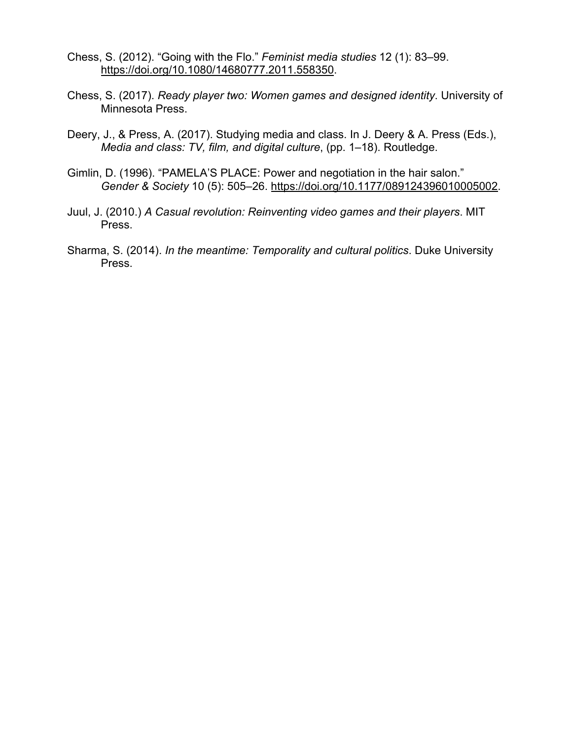- Chess, S. (2012). "Going with the Flo." *Feminist media studies* 12 (1): 83–99. https://doi.org/10.1080/14680777.2011.558350.
- Chess, S. (2017). *Ready player two: Women games and designed identity*. University of Minnesota Press.
- Deery, J., & Press, A. (2017). Studying media and class. In J. Deery & A. Press (Eds.), *Media and class: TV, film, and digital culture*, (pp. 1–18). Routledge.
- Gimlin, D. (1996). "PAMELA'S PLACE: Power and negotiation in the hair salon." *Gender & Society* 10 (5): 505–26. https://doi.org/10.1177/089124396010005002.
- Juul, J. (2010.) *A Casual revolution: Reinventing video games and their players*. MIT Press.
- Sharma, S. (2014). *In the meantime: Temporality and cultural politics*. Duke University Press.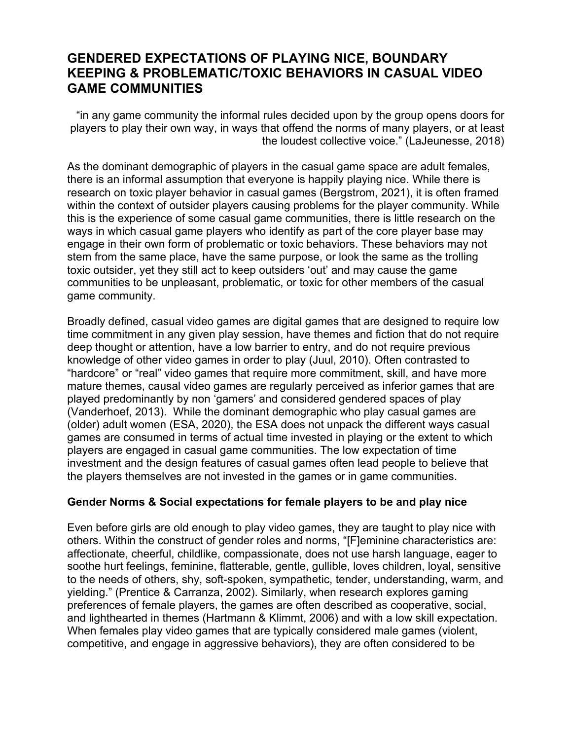# **GENDERED EXPECTATIONS OF PLAYING NICE, BOUNDARY KEEPING & PROBLEMATIC/TOXIC BEHAVIORS IN CASUAL VIDEO GAME COMMUNITIES**

"in any game community the informal rules decided upon by the group opens doors for players to play their own way, in ways that offend the norms of many players, or at least the loudest collective voice." (LaJeunesse, 2018)

As the dominant demographic of players in the casual game space are adult females, there is an informal assumption that everyone is happily playing nice. While there is research on toxic player behavior in casual games (Bergstrom, 2021), it is often framed within the context of outsider players causing problems for the player community. While this is the experience of some casual game communities, there is little research on the ways in which casual game players who identify as part of the core player base may engage in their own form of problematic or toxic behaviors. These behaviors may not stem from the same place, have the same purpose, or look the same as the trolling toxic outsider, yet they still act to keep outsiders 'out' and may cause the game communities to be unpleasant, problematic, or toxic for other members of the casual game community.

Broadly defined, casual video games are digital games that are designed to require low time commitment in any given play session, have themes and fiction that do not require deep thought or attention, have a low barrier to entry, and do not require previous knowledge of other video games in order to play (Juul, 2010). Often contrasted to "hardcore" or "real" video games that require more commitment, skill, and have more mature themes, causal video games are regularly perceived as inferior games that are played predominantly by non 'gamers' and considered gendered spaces of play (Vanderhoef, 2013). While the dominant demographic who play casual games are (older) adult women (ESA, 2020), the ESA does not unpack the different ways casual games are consumed in terms of actual time invested in playing or the extent to which players are engaged in casual game communities. The low expectation of time investment and the design features of casual games often lead people to believe that the players themselves are not invested in the games or in game communities.

#### **Gender Norms & Social expectations for female players to be and play nice**

Even before girls are old enough to play video games, they are taught to play nice with others. Within the construct of gender roles and norms, "[F]eminine characteristics are: affectionate, cheerful, childlike, compassionate, does not use harsh language, eager to soothe hurt feelings, feminine, flatterable, gentle, gullible, loves children, loyal, sensitive to the needs of others, shy, soft-spoken, sympathetic, tender, understanding, warm, and yielding." (Prentice & Carranza, 2002). Similarly, when research explores gaming preferences of female players, the games are often described as cooperative, social, and lighthearted in themes (Hartmann & Klimmt, 2006) and with a low skill expectation. When females play video games that are typically considered male games (violent, competitive, and engage in aggressive behaviors), they are often considered to be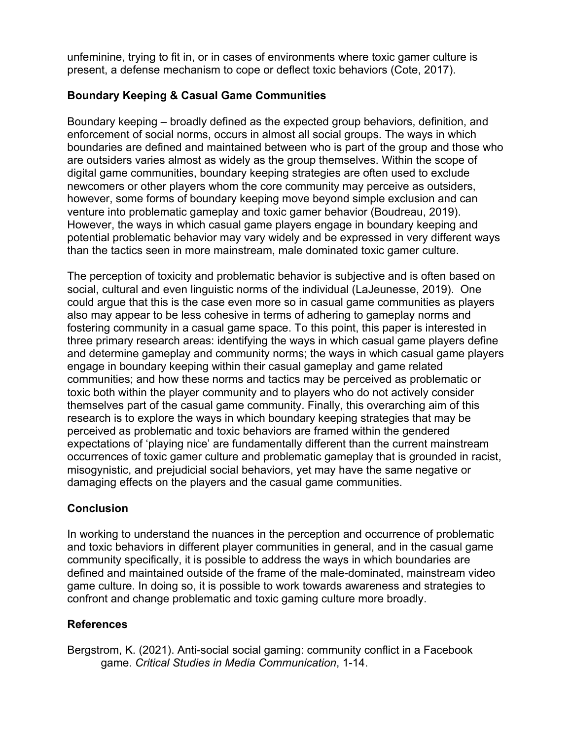unfeminine, trying to fit in, or in cases of environments where toxic gamer culture is present, a defense mechanism to cope or deflect toxic behaviors (Cote, 2017).

## **Boundary Keeping & Casual Game Communities**

Boundary keeping – broadly defined as the expected group behaviors, definition, and enforcement of social norms, occurs in almost all social groups. The ways in which boundaries are defined and maintained between who is part of the group and those who are outsiders varies almost as widely as the group themselves. Within the scope of digital game communities, boundary keeping strategies are often used to exclude newcomers or other players whom the core community may perceive as outsiders, however, some forms of boundary keeping move beyond simple exclusion and can venture into problematic gameplay and toxic gamer behavior (Boudreau, 2019). However, the ways in which casual game players engage in boundary keeping and potential problematic behavior may vary widely and be expressed in very different ways than the tactics seen in more mainstream, male dominated toxic gamer culture.

The perception of toxicity and problematic behavior is subjective and is often based on social, cultural and even linguistic norms of the individual (LaJeunesse, 2019). One could argue that this is the case even more so in casual game communities as players also may appear to be less cohesive in terms of adhering to gameplay norms and fostering community in a casual game space. To this point, this paper is interested in three primary research areas: identifying the ways in which casual game players define and determine gameplay and community norms; the ways in which casual game players engage in boundary keeping within their casual gameplay and game related communities; and how these norms and tactics may be perceived as problematic or toxic both within the player community and to players who do not actively consider themselves part of the casual game community. Finally, this overarching aim of this research is to explore the ways in which boundary keeping strategies that may be perceived as problematic and toxic behaviors are framed within the gendered expectations of 'playing nice' are fundamentally different than the current mainstream occurrences of toxic gamer culture and problematic gameplay that is grounded in racist, misogynistic, and prejudicial social behaviors, yet may have the same negative or damaging effects on the players and the casual game communities.

# **Conclusion**

In working to understand the nuances in the perception and occurrence of problematic and toxic behaviors in different player communities in general, and in the casual game community specifically, it is possible to address the ways in which boundaries are defined and maintained outside of the frame of the male-dominated, mainstream video game culture. In doing so, it is possible to work towards awareness and strategies to confront and change problematic and toxic gaming culture more broadly.

# **References**

Bergstrom, K. (2021). Anti-social social gaming: community conflict in a Facebook game. *Critical Studies in Media Communication*, 1-14.